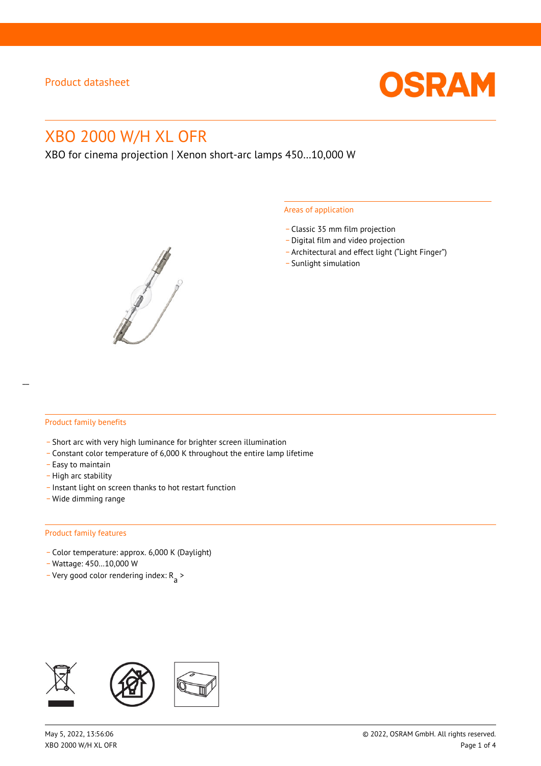

# XBO 2000 W/H XL OFR

XBO for cinema projection | Xenon short-arc lamps 450…10,000 W



#### Areas of application

- \_ Classic 35 mm film projection
- \_ Digital film and video projection
- \_ Architectural and effect light ("Light Finger")
- Sunlight simulation

#### Product family benefits

- \_ Short arc with very high luminance for brighter screen illumination
- \_ Constant color temperature of 6,000 K throughout the entire lamp lifetime
- \_ Easy to maintain
- High arc stability
- \_ Instant light on screen thanks to hot restart function
- \_ Wide dimming range

#### Product family features

- \_ Color temperature: approx. 6,000 K (Daylight)
- \_ Wattage: 450…10,000 W
- Very good color rendering index:  $R_{\text{a}}$  >

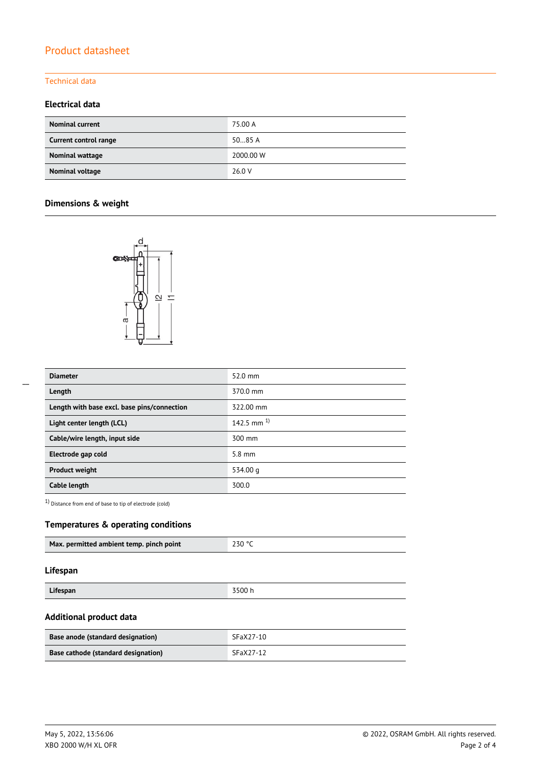# Product datasheet

## Technical data

## **Electrical data**

| <b>Nominal current</b> | 75.00 A   |
|------------------------|-----------|
| Current control range  | 5085A     |
| Nominal wattage        | 2000.00 W |
| Nominal voltage        | 26.0 V    |

# **Dimensions & weight**



| <b>Diameter</b>                             | $52.0$ mm       |
|---------------------------------------------|-----------------|
| Length                                      | 370.0 mm        |
| Length with base excl. base pins/connection | 322.00 mm       |
| Light center length (LCL)                   | 142.5 mm $^{1}$ |
| Cable/wire length, input side               | 300 mm          |
| Electrode gap cold                          | $5.8$ mm        |
| <b>Product weight</b>                       | 534.00 g        |
| Cable length                                | 300.0           |

1) Distance from end of base to tip of electrode (cold)

## **Temperatures & operating conditions**

|  | Max. permitted ambient temp. pinch point | $-230$ ° |
|--|------------------------------------------|----------|
|--|------------------------------------------|----------|

#### **Lifespan**

| $\cdots$<br>Lifespan | $-00$<br>. |
|----------------------|------------|
|                      | ,,,,,      |

## **Additional product data**

| Base anode (standard designation)   | SFaX27-10 |
|-------------------------------------|-----------|
| Base cathode (standard designation) | SFaX27-12 |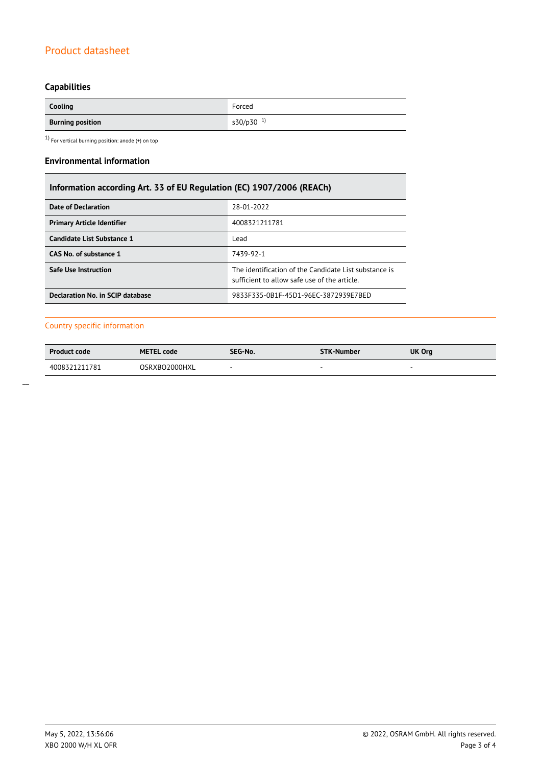# Product datasheet

# **Capabilities**

| Cooling                         | Forced                |
|---------------------------------|-----------------------|
| <b>Burning position</b><br>____ | s30/p30 <sup>1)</sup> |

 $1)$  For vertical burning position: anode (+) on top

### **Environmental information**

# **Information according Art. 33 of EU Regulation (EC) 1907/2006 (REACh)**

| Date of Declaration               | 28-01-2022                                                                                            |
|-----------------------------------|-------------------------------------------------------------------------------------------------------|
| <b>Primary Article Identifier</b> | 4008321211781                                                                                         |
| <b>Candidate List Substance 1</b> | Lead                                                                                                  |
| CAS No. of substance 1            | 7439-92-1                                                                                             |
| <b>Safe Use Instruction</b>       | The identification of the Candidate List substance is<br>sufficient to allow safe use of the article. |
| Declaration No. in SCIP database  | 9833F335-0B1F-45D1-96EC-3872939E7BED                                                                  |

## Country specific information

| <b>Product code</b> | <b>METEL code</b> | SEG-No. | <b>STK-Number</b> | UK Org |
|---------------------|-------------------|---------|-------------------|--------|
| 4008321211781       | OSRXBO2000HXL     |         |                   |        |